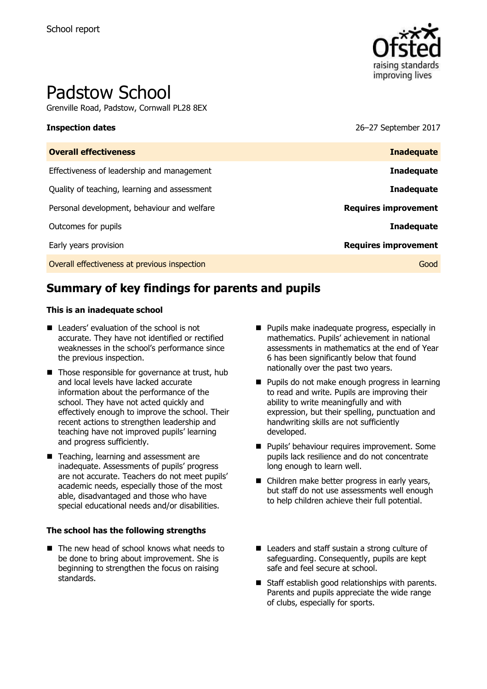

# Padstow School

Grenville Road, Padstow, Cornwall PL28 8EX

**Inspection dates** 26–27 September 2017

| <b>Inadequate</b>           |
|-----------------------------|
| <b>Inadequate</b>           |
| <b>Inadequate</b>           |
| <b>Requires improvement</b> |
| Inadequate                  |
| <b>Requires improvement</b> |
| Good                        |
|                             |

# **Summary of key findings for parents and pupils**

#### **This is an inadequate school**

- Leaders' evaluation of the school is not accurate. They have not identified or rectified weaknesses in the school's performance since the previous inspection.
- Those responsible for governance at trust, hub and local levels have lacked accurate information about the performance of the school. They have not acted quickly and effectively enough to improve the school. Their recent actions to strengthen leadership and teaching have not improved pupils' learning and progress sufficiently.
- Teaching, learning and assessment are inadequate. Assessments of pupils' progress are not accurate. Teachers do not meet pupils' academic needs, especially those of the most able, disadvantaged and those who have special educational needs and/or disabilities.

#### **The school has the following strengths**

■ The new head of school knows what needs to be done to bring about improvement. She is beginning to strengthen the focus on raising standards.

- **Pupils make inadequate progress, especially in** mathematics. Pupils' achievement in national assessments in mathematics at the end of Year 6 has been significantly below that found nationally over the past two years.
- **Pupils do not make enough progress in learning** to read and write. Pupils are improving their ability to write meaningfully and with expression, but their spelling, punctuation and handwriting skills are not sufficiently developed.
- **Pupils' behaviour requires improvement. Some** pupils lack resilience and do not concentrate long enough to learn well.
- Children make better progress in early years, but staff do not use assessments well enough to help children achieve their full potential.
- Leaders and staff sustain a strong culture of safeguarding. Consequently, pupils are kept safe and feel secure at school.
- Staff establish good relationships with parents. Parents and pupils appreciate the wide range of clubs, especially for sports.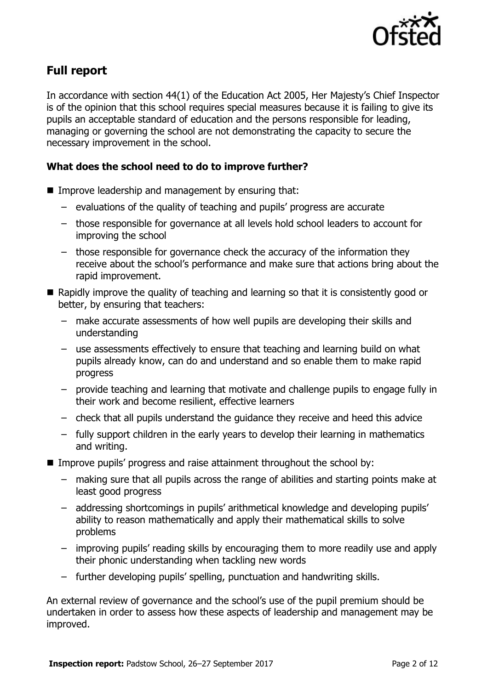

# **Full report**

In accordance with section 44(1) of the Education Act 2005, Her Majesty's Chief Inspector is of the opinion that this school requires special measures because it is failing to give its pupils an acceptable standard of education and the persons responsible for leading, managing or governing the school are not demonstrating the capacity to secure the necessary improvement in the school.

### **What does the school need to do to improve further?**

- $\blacksquare$  Improve leadership and management by ensuring that:
	- evaluations of the quality of teaching and pupils' progress are accurate
	- those responsible for governance at all levels hold school leaders to account for improving the school
	- those responsible for governance check the accuracy of the information they receive about the school's performance and make sure that actions bring about the rapid improvement.
- Rapidly improve the quality of teaching and learning so that it is consistently good or better, by ensuring that teachers:
	- make accurate assessments of how well pupils are developing their skills and understanding
	- use assessments effectively to ensure that teaching and learning build on what pupils already know, can do and understand and so enable them to make rapid progress
	- provide teaching and learning that motivate and challenge pupils to engage fully in their work and become resilient, effective learners
	- check that all pupils understand the guidance they receive and heed this advice
	- fully support children in the early years to develop their learning in mathematics and writing.
- **IMPROVE PUPILS' progress and raise attainment throughout the school by:** 
	- making sure that all pupils across the range of abilities and starting points make at least good progress
	- addressing shortcomings in pupils' arithmetical knowledge and developing pupils' ability to reason mathematically and apply their mathematical skills to solve problems
	- improving pupils' reading skills by encouraging them to more readily use and apply their phonic understanding when tackling new words
	- further developing pupils' spelling, punctuation and handwriting skills.

An external review of governance and the school's use of the pupil premium should be undertaken in order to assess how these aspects of leadership and management may be improved.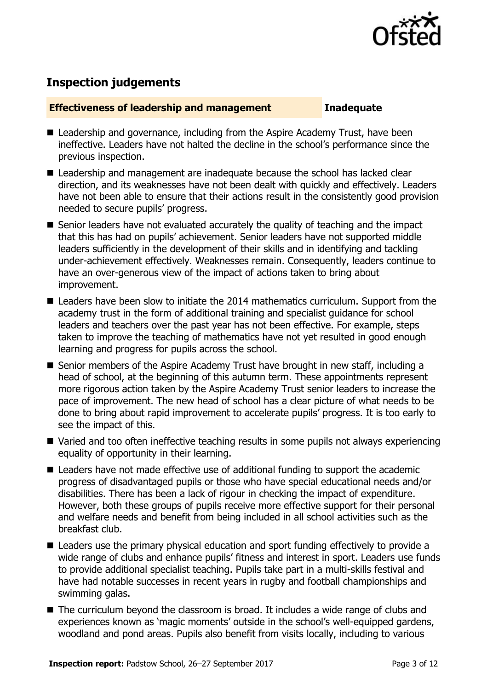

# **Inspection judgements**

#### **Effectiveness of leadership and management Inadequate**

- Leadership and governance, including from the Aspire Academy Trust, have been ineffective. Leaders have not halted the decline in the school's performance since the previous inspection.
- Leadership and management are inadequate because the school has lacked clear direction, and its weaknesses have not been dealt with quickly and effectively. Leaders have not been able to ensure that their actions result in the consistently good provision needed to secure pupils' progress.
- Senior leaders have not evaluated accurately the quality of teaching and the impact that this has had on pupils' achievement. Senior leaders have not supported middle leaders sufficiently in the development of their skills and in identifying and tackling under-achievement effectively. Weaknesses remain. Consequently, leaders continue to have an over-generous view of the impact of actions taken to bring about improvement.
- Leaders have been slow to initiate the 2014 mathematics curriculum. Support from the academy trust in the form of additional training and specialist guidance for school leaders and teachers over the past year has not been effective. For example, steps taken to improve the teaching of mathematics have not yet resulted in good enough learning and progress for pupils across the school.
- Senior members of the Aspire Academy Trust have brought in new staff, including a head of school, at the beginning of this autumn term. These appointments represent more rigorous action taken by the Aspire Academy Trust senior leaders to increase the pace of improvement. The new head of school has a clear picture of what needs to be done to bring about rapid improvement to accelerate pupils' progress. It is too early to see the impact of this.
- Varied and too often ineffective teaching results in some pupils not always experiencing equality of opportunity in their learning.
- Leaders have not made effective use of additional funding to support the academic progress of disadvantaged pupils or those who have special educational needs and/or disabilities. There has been a lack of rigour in checking the impact of expenditure. However, both these groups of pupils receive more effective support for their personal and welfare needs and benefit from being included in all school activities such as the breakfast club.
- Leaders use the primary physical education and sport funding effectively to provide a wide range of clubs and enhance pupils' fitness and interest in sport. Leaders use funds to provide additional specialist teaching. Pupils take part in a multi-skills festival and have had notable successes in recent years in rugby and football championships and swimming galas.
- The curriculum beyond the classroom is broad. It includes a wide range of clubs and experiences known as 'magic moments' outside in the school's well-equipped gardens, woodland and pond areas. Pupils also benefit from visits locally, including to various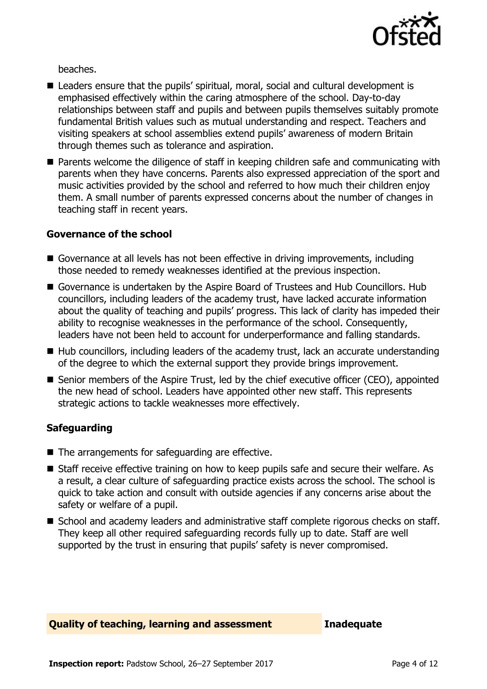

beaches.

- Leaders ensure that the pupils' spiritual, moral, social and cultural development is emphasised effectively within the caring atmosphere of the school. Day-to-day relationships between staff and pupils and between pupils themselves suitably promote fundamental British values such as mutual understanding and respect. Teachers and visiting speakers at school assemblies extend pupils' awareness of modern Britain through themes such as tolerance and aspiration.
- Parents welcome the diligence of staff in keeping children safe and communicating with parents when they have concerns. Parents also expressed appreciation of the sport and music activities provided by the school and referred to how much their children enjoy them. A small number of parents expressed concerns about the number of changes in teaching staff in recent years.

### **Governance of the school**

- Governance at all levels has not been effective in driving improvements, including those needed to remedy weaknesses identified at the previous inspection.
- Governance is undertaken by the Aspire Board of Trustees and Hub Councillors. Hub councillors, including leaders of the academy trust, have lacked accurate information about the quality of teaching and pupils' progress. This lack of clarity has impeded their ability to recognise weaknesses in the performance of the school. Consequently, leaders have not been held to account for underperformance and falling standards.
- Hub councillors, including leaders of the academy trust, lack an accurate understanding of the degree to which the external support they provide brings improvement.
- Senior members of the Aspire Trust, led by the chief executive officer (CEO), appointed the new head of school. Leaders have appointed other new staff. This represents strategic actions to tackle weaknesses more effectively.

### **Safeguarding**

- $\blacksquare$  The arrangements for safeguarding are effective.
- Staff receive effective training on how to keep pupils safe and secure their welfare. As a result, a clear culture of safeguarding practice exists across the school. The school is quick to take action and consult with outside agencies if any concerns arise about the safety or welfare of a pupil.
- School and academy leaders and administrative staff complete rigorous checks on staff. They keep all other required safeguarding records fully up to date. Staff are well supported by the trust in ensuring that pupils' safety is never compromised.

#### **Quality of teaching, learning and assessment Inadequate**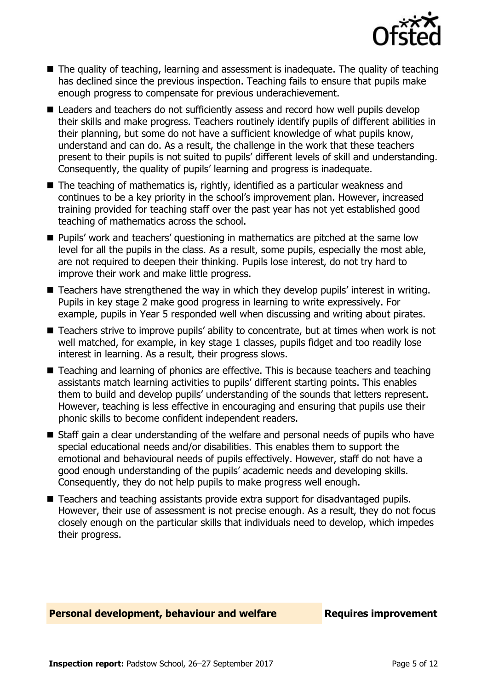

- The quality of teaching, learning and assessment is inadequate. The quality of teaching has declined since the previous inspection. Teaching fails to ensure that pupils make enough progress to compensate for previous underachievement.
- Leaders and teachers do not sufficiently assess and record how well pupils develop their skills and make progress. Teachers routinely identify pupils of different abilities in their planning, but some do not have a sufficient knowledge of what pupils know, understand and can do. As a result, the challenge in the work that these teachers present to their pupils is not suited to pupils' different levels of skill and understanding. Consequently, the quality of pupils' learning and progress is inadequate.
- $\blacksquare$  The teaching of mathematics is, rightly, identified as a particular weakness and continues to be a key priority in the school's improvement plan. However, increased training provided for teaching staff over the past year has not yet established good teaching of mathematics across the school.
- **Pupils'** work and teachers' questioning in mathematics are pitched at the same low level for all the pupils in the class. As a result, some pupils, especially the most able, are not required to deepen their thinking. Pupils lose interest, do not try hard to improve their work and make little progress.
- Teachers have strengthened the way in which they develop pupils' interest in writing. Pupils in key stage 2 make good progress in learning to write expressively. For example, pupils in Year 5 responded well when discussing and writing about pirates.
- Teachers strive to improve pupils' ability to concentrate, but at times when work is not well matched, for example, in key stage 1 classes, pupils fidget and too readily lose interest in learning. As a result, their progress slows.
- Teaching and learning of phonics are effective. This is because teachers and teaching assistants match learning activities to pupils' different starting points. This enables them to build and develop pupils' understanding of the sounds that letters represent. However, teaching is less effective in encouraging and ensuring that pupils use their phonic skills to become confident independent readers.
- Staff gain a clear understanding of the welfare and personal needs of pupils who have special educational needs and/or disabilities. This enables them to support the emotional and behavioural needs of pupils effectively. However, staff do not have a good enough understanding of the pupils' academic needs and developing skills. Consequently, they do not help pupils to make progress well enough.
- Teachers and teaching assistants provide extra support for disadvantaged pupils. However, their use of assessment is not precise enough. As a result, they do not focus closely enough on the particular skills that individuals need to develop, which impedes their progress.

#### **Personal development, behaviour and welfare Fig. 2.1 Requires improvement**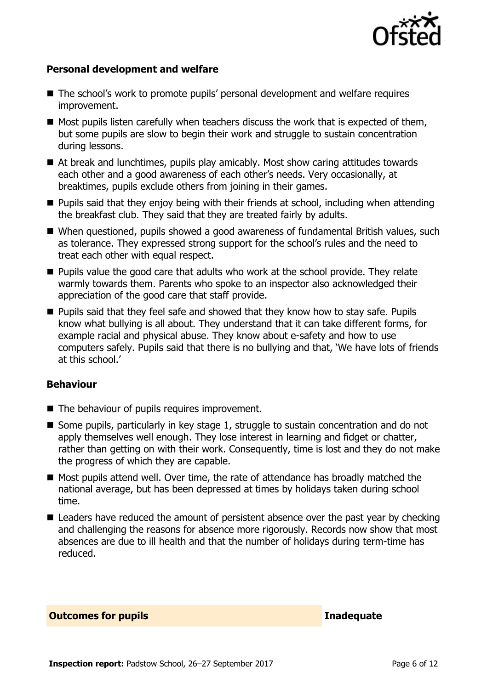

#### **Personal development and welfare**

- The school's work to promote pupils' personal development and welfare requires improvement.
- $\blacksquare$  Most pupils listen carefully when teachers discuss the work that is expected of them, but some pupils are slow to begin their work and struggle to sustain concentration during lessons.
- At break and lunchtimes, pupils play amicably. Most show caring attitudes towards each other and a good awareness of each other's needs. Very occasionally, at breaktimes, pupils exclude others from joining in their games.
- **Pupils said that they enjoy being with their friends at school, including when attending** the breakfast club. They said that they are treated fairly by adults.
- When questioned, pupils showed a good awareness of fundamental British values, such as tolerance. They expressed strong support for the school's rules and the need to treat each other with equal respect.
- **Pupils value the good care that adults who work at the school provide. They relate** warmly towards them. Parents who spoke to an inspector also acknowledged their appreciation of the good care that staff provide.
- Pupils said that they feel safe and showed that they know how to stay safe. Pupils know what bullying is all about. They understand that it can take different forms, for example racial and physical abuse. They know about e-safety and how to use computers safely. Pupils said that there is no bullying and that, 'We have lots of friends at this school.'

#### **Behaviour**

- The behaviour of pupils requires improvement.
- Some pupils, particularly in key stage 1, struggle to sustain concentration and do not apply themselves well enough. They lose interest in learning and fidget or chatter, rather than getting on with their work. Consequently, time is lost and they do not make the progress of which they are capable.
- Most pupils attend well. Over time, the rate of attendance has broadly matched the national average, but has been depressed at times by holidays taken during school time.
- Leaders have reduced the amount of persistent absence over the past year by checking and challenging the reasons for absence more rigorously. Records now show that most absences are due to ill health and that the number of holidays during term-time has reduced.

#### **Outcomes for pupils Inadequate**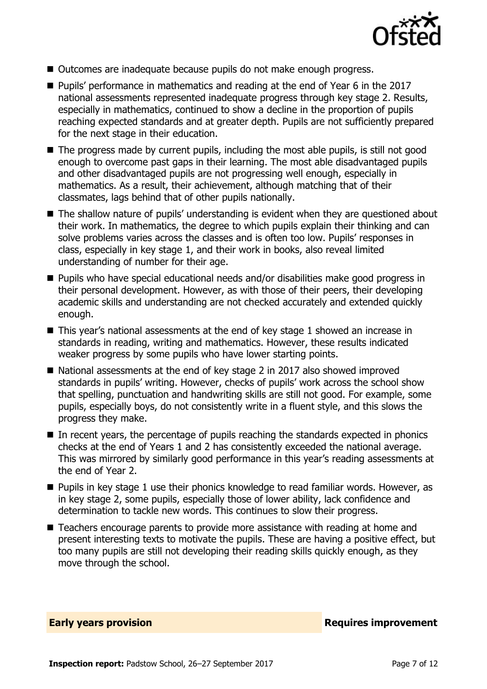

- Outcomes are inadequate because pupils do not make enough progress.
- Pupils' performance in mathematics and reading at the end of Year 6 in the 2017 national assessments represented inadequate progress through key stage 2. Results, especially in mathematics, continued to show a decline in the proportion of pupils reaching expected standards and at greater depth. Pupils are not sufficiently prepared for the next stage in their education.
- $\blacksquare$  The progress made by current pupils, including the most able pupils, is still not good enough to overcome past gaps in their learning. The most able disadvantaged pupils and other disadvantaged pupils are not progressing well enough, especially in mathematics. As a result, their achievement, although matching that of their classmates, lags behind that of other pupils nationally.
- The shallow nature of pupils' understanding is evident when they are questioned about their work. In mathematics, the degree to which pupils explain their thinking and can solve problems varies across the classes and is often too low. Pupils' responses in class, especially in key stage 1, and their work in books, also reveal limited understanding of number for their age.
- Pupils who have special educational needs and/or disabilities make good progress in their personal development. However, as with those of their peers, their developing academic skills and understanding are not checked accurately and extended quickly enough.
- This year's national assessments at the end of key stage 1 showed an increase in standards in reading, writing and mathematics. However, these results indicated weaker progress by some pupils who have lower starting points.
- National assessments at the end of key stage 2 in 2017 also showed improved standards in pupils' writing. However, checks of pupils' work across the school show that spelling, punctuation and handwriting skills are still not good. For example, some pupils, especially boys, do not consistently write in a fluent style, and this slows the progress they make.
- In recent years, the percentage of pupils reaching the standards expected in phonics checks at the end of Years 1 and 2 has consistently exceeded the national average. This was mirrored by similarly good performance in this year's reading assessments at the end of Year 2.
- **Pupils in key stage 1 use their phonics knowledge to read familiar words. However, as** in key stage 2, some pupils, especially those of lower ability, lack confidence and determination to tackle new words. This continues to slow their progress.
- Teachers encourage parents to provide more assistance with reading at home and present interesting texts to motivate the pupils. These are having a positive effect, but too many pupils are still not developing their reading skills quickly enough, as they move through the school.

**Early years provision Requires improvement**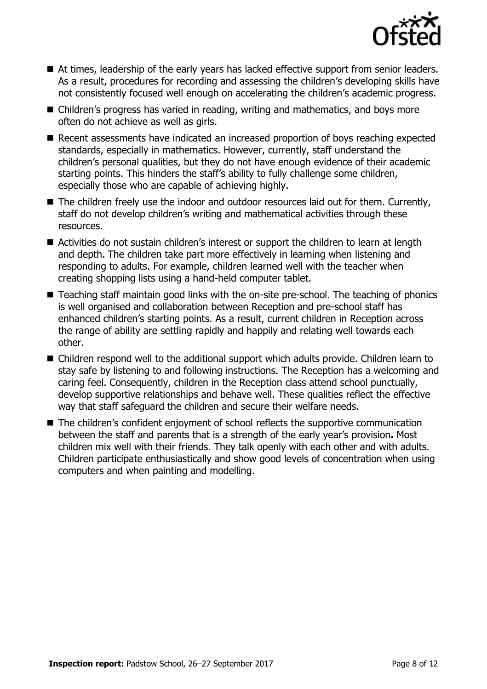

- At times, leadership of the early years has lacked effective support from senior leaders. As a result, procedures for recording and assessing the children's developing skills have not consistently focused well enough on accelerating the children's academic progress.
- Children's progress has varied in reading, writing and mathematics, and boys more often do not achieve as well as girls.
- Recent assessments have indicated an increased proportion of boys reaching expected standards, especially in mathematics. However, currently, staff understand the children's personal qualities, but they do not have enough evidence of their academic starting points. This hinders the staff's ability to fully challenge some children, especially those who are capable of achieving highly.
- The children freely use the indoor and outdoor resources laid out for them. Currently, staff do not develop children's writing and mathematical activities through these resources.
- Activities do not sustain children's interest or support the children to learn at length and depth. The children take part more effectively in learning when listening and responding to adults. For example, children learned well with the teacher when creating shopping lists using a hand-held computer tablet.
- Teaching staff maintain good links with the on-site pre-school. The teaching of phonics is well organised and collaboration between Reception and pre-school staff has enhanced children's starting points. As a result, current children in Reception across the range of ability are settling rapidly and happily and relating well towards each other.
- Children respond well to the additional support which adults provide. Children learn to stay safe by listening to and following instructions. The Reception has a welcoming and caring feel. Consequently, children in the Reception class attend school punctually, develop supportive relationships and behave well. These qualities reflect the effective way that staff safeguard the children and secure their welfare needs.
- The children's confident enjoyment of school reflects the supportive communication between the staff and parents that is a strength of the early year's provision**.** Most children mix well with their friends. They talk openly with each other and with adults. Children participate enthusiastically and show good levels of concentration when using computers and when painting and modelling.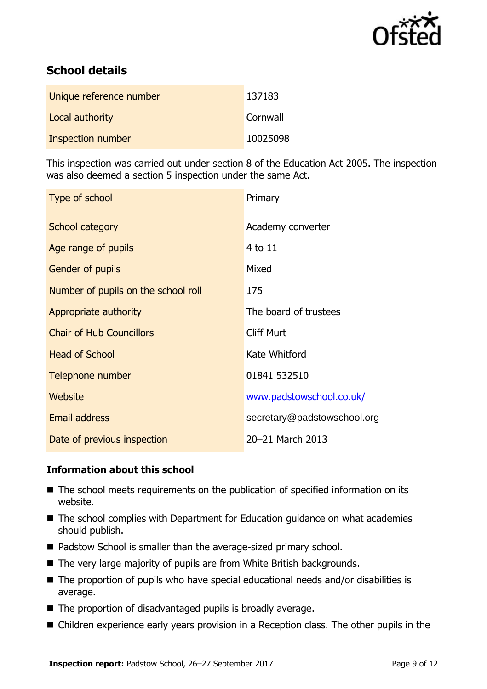

# **School details**

| Unique reference number | 137183   |
|-------------------------|----------|
| Local authority         | Cornwall |
| Inspection number       | 10025098 |

This inspection was carried out under section 8 of the Education Act 2005. The inspection was also deemed a section 5 inspection under the same Act.

| Type of school                      | Primary                     |
|-------------------------------------|-----------------------------|
| School category                     | Academy converter           |
| Age range of pupils                 | 4 to 11                     |
| <b>Gender of pupils</b>             | Mixed                       |
| Number of pupils on the school roll | 175                         |
| Appropriate authority               | The board of trustees       |
| <b>Chair of Hub Councillors</b>     | <b>Cliff Murt</b>           |
| <b>Head of School</b>               | Kate Whitford               |
| Telephone number                    | 01841 532510                |
| Website                             | www.padstowschool.co.uk/    |
| <b>Email address</b>                | secretary@padstowschool.org |
| Date of previous inspection         | 20-21 March 2013            |

### **Information about this school**

- The school meets requirements on the publication of specified information on its website.
- The school complies with Department for Education guidance on what academies should publish.
- Padstow School is smaller than the average-sized primary school.
- The very large majority of pupils are from White British backgrounds.
- The proportion of pupils who have special educational needs and/or disabilities is average.
- $\blacksquare$  The proportion of disadvantaged pupils is broadly average.
- Children experience early years provision in a Reception class. The other pupils in the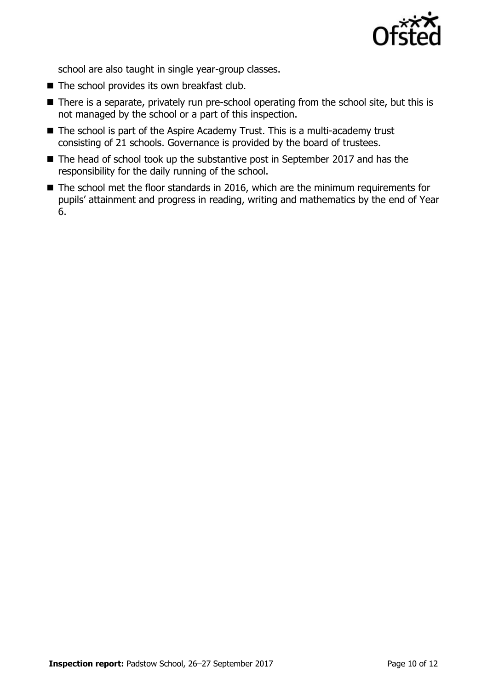

school are also taught in single year-group classes.

- $\blacksquare$  The school provides its own breakfast club.
- There is a separate, privately run pre-school operating from the school site, but this is not managed by the school or a part of this inspection.
- The school is part of the Aspire Academy Trust. This is a multi-academy trust consisting of 21 schools. Governance is provided by the board of trustees.
- The head of school took up the substantive post in September 2017 and has the responsibility for the daily running of the school.
- The school met the floor standards in 2016, which are the minimum requirements for pupils' attainment and progress in reading, writing and mathematics by the end of Year 6.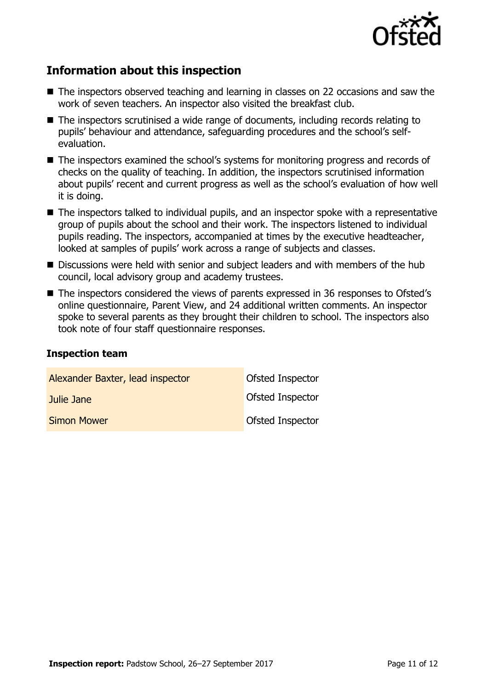

# **Information about this inspection**

- The inspectors observed teaching and learning in classes on 22 occasions and saw the work of seven teachers. An inspector also visited the breakfast club.
- The inspectors scrutinised a wide range of documents, including records relating to pupils' behaviour and attendance, safeguarding procedures and the school's selfevaluation.
- The inspectors examined the school's systems for monitoring progress and records of checks on the quality of teaching. In addition, the inspectors scrutinised information about pupils' recent and current progress as well as the school's evaluation of how well it is doing.
- The inspectors talked to individual pupils, and an inspector spoke with a representative group of pupils about the school and their work. The inspectors listened to individual pupils reading. The inspectors, accompanied at times by the executive headteacher, looked at samples of pupils' work across a range of subjects and classes.
- Discussions were held with senior and subject leaders and with members of the hub council, local advisory group and academy trustees.
- The inspectors considered the views of parents expressed in 36 responses to Ofsted's online questionnaire, Parent View, and 24 additional written comments. An inspector spoke to several parents as they brought their children to school. The inspectors also took note of four staff questionnaire responses.

#### **Inspection team**

| Alexander Baxter, lead inspector | Ofsted Inspector |
|----------------------------------|------------------|
| Julie Jane                       | Ofsted Inspector |
| <b>Simon Mower</b>               | Ofsted Inspector |